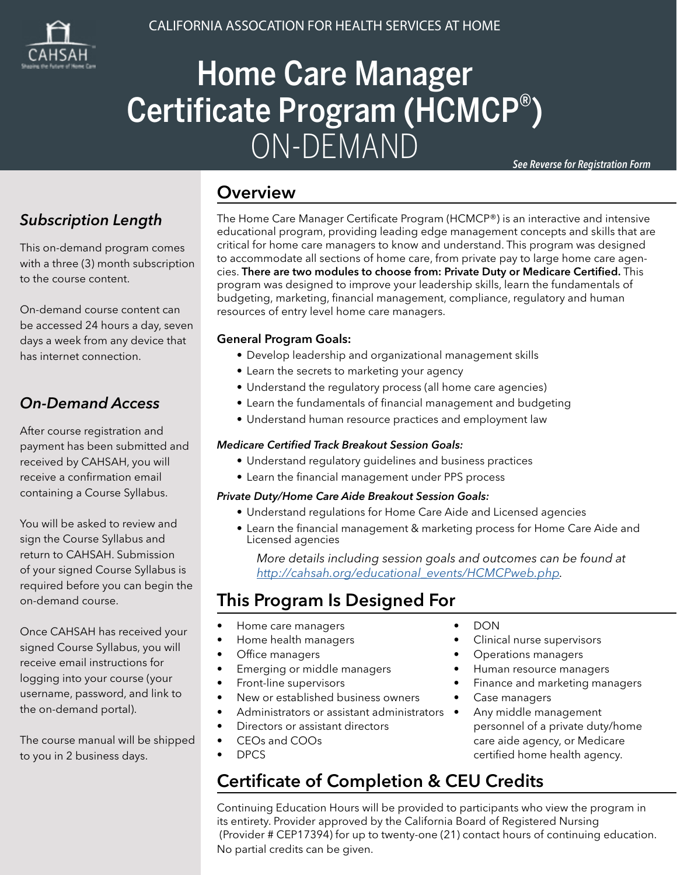

# Home Care Manager Certificate Program (HCMCP® ) ON-DEMAND

*See Reverse for Registration Form*

## *Subscription Length*

This on-demand program comes with a three (3) month subscription to the course content.

On-demand course content can be accessed 24 hours a day, seven days a week from any device that has internet connection.

### *On-Demand Access*

After course registration and payment has been submitted and received by CAHSAH, you will receive a confirmation email containing a Course Syllabus.

You will be asked to review and sign the Course Syllabus and return to CAHSAH. Submission of your signed Course Syllabus is required before you can begin the on-demand course.

Once CAHSAH has received your signed Course Syllabus, you will receive email instructions for logging into your course (your username, password, and link to the on-demand portal).

The course manual will be shipped to you in 2 business days.

### **Overview**

The Home Care Manager Certificate Program (HCMCP®) is an interactive and intensive educational program, providing leading edge management concepts and skills that are critical for home care managers to know and understand. This program was designed to accommodate all sections of home care, from private pay to large home care agencies. There are two modules to choose from: Private Duty or Medicare Certified. This program was designed to improve your leadership skills, learn the fundamentals of budgeting, marketing, financial management, compliance, regulatory and human resources of entry level home care managers.

#### General Program Goals:

- Develop leadership and organizational management skills
- Learn the secrets to marketing your agency
- Understand the regulatory process (all home care agencies)
- Learn the fundamentals of financial management and budgeting
- Understand human resource practices and employment law

#### *Medicare Certified Track Breakout Session Goals:*

- Understand regulatory guidelines and business practices
- Learn the financial management under PPS process

#### *Private Duty/Home Care Aide Breakout Session Goals:*

- Understand regulations for Home Care Aide and Licensed agencies
- Learn the financial management & marketing process for Home Care Aide and Licensed agencies

*More details including session goals and outcomes can be found at [http://cahsah.org/educational\\_events/HCMCPweb.php](http://cahsah.org/educational_events/HCMCPweb.php).*

## This Program Is Designed For

- Home care managers
- Home health managers
- Office managers
- Emerging or middle managers
- Front-line supervisors
- New or established business owners
- Administrators or assistant administrators •
- Directors or assistant directors
- CEOs and COOs
- DPCS

## Certificate of Completion & CEU Credits

Continuing Education Hours will be provided to participants who view the program in its entirety. Provider approved by the California Board of Registered Nursing (Provider # CEP17394) for up to twenty-one (21) contact hours of continuing education. No partial credits can be given.

• DON

- Clinical nurse supervisors
- Operations managers
- Human resource managers
- Finance and marketing managers
- Case managers
- Any middle management personnel of a private duty/home care aide agency, or Medicare certified home health agency.